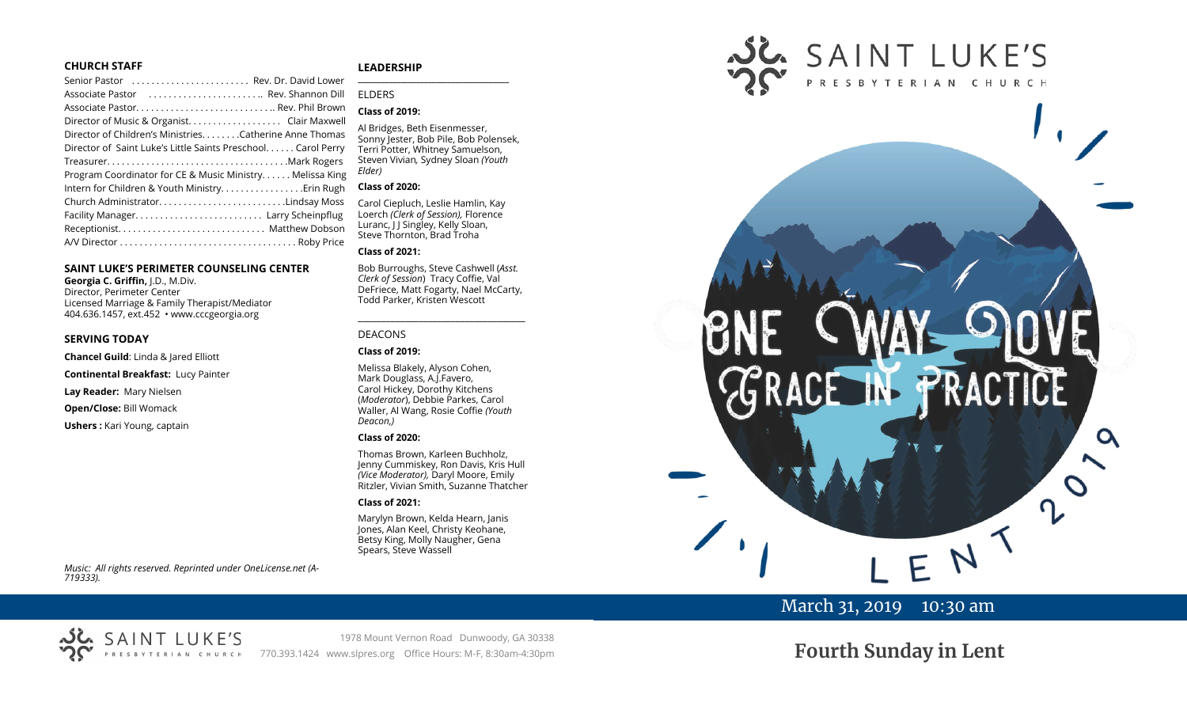#### **CHURCH STAFF**

| Senior Pastor  Rev. Dr. David Lower                           |
|---------------------------------------------------------------|
| Associate Pastor  Rev. Shannon Dill                           |
| Associate Pastor Rev. Phil Brown                              |
| Director of Music & Organist. Clair Maxwell                   |
| Director of Children's Ministries. Catherine Anne Thomas      |
| Director of Saint Luke's Little Saints Preschool. Carol Perry |
|                                                               |
| Program Coordinator for CE & Music Ministry Melissa King      |
| Intern for Children & Youth Ministry. Erin Rugh               |
| Church AdministratorLindsay Moss                              |
| Facility Manager Larry Scheinpflug                            |
|                                                               |
|                                                               |

#### **SAINT LUKE'S PERIMETER COUNSELING CENTER**

**Georgia C. Griffin,** J.D., M.Div. Director, Perimeter Center Licensed Marriage & Family Therapist/Mediator 404.636.1457, ext.452 • www.cccgeorgia.org

#### **SERVING TODAY**

**Chancel Guild**: Linda & Jared Elliott

**Continental Breakfast:** Lucy Painter

**Lay Reader:** Mary Nielsen

**Open/Close:** Bill Womack

**Ushers :** Kari Young, captain

#### **LEADERSHIP**

## ELDERS

#### **Class of 2019:**

Al Bridges, Beth Eisenmesser, Sonny Jester, Bob Pile, Bob Polensek, Terri Potter, Whitney Samuelson, Steven Vivian*,* Sydney Sloan *(Youth Elder)*

**\_\_\_\_\_\_\_\_\_\_\_\_\_\_\_\_\_\_\_\_\_\_\_\_\_\_\_\_\_\_\_\_\_\_\_\_\_\_\_**

#### **Class of 2020:**

Carol Ciepluch, Leslie Hamlin, Kay Loerch *(Clerk of Session),* Florence Luranc, J J Singley, Kelly Sloan, Steve Thornton, Brad Troha

#### **Class of 2021:**

Bob Burroughs, Steve Cashwell (*Asst. Clerk of Session*) Tracy Coffie, Val DeFriece, Matt Fogarty, Nael McCarty, Todd Parker, Kristen Wescott

\_\_\_\_\_\_\_\_\_\_\_\_\_\_\_\_\_\_\_\_\_\_\_\_\_\_\_\_\_\_\_\_\_\_\_\_

#### DEACONS

#### **Class of 2019:**

Melissa Blakely, Alyson Cohen, Mark Douglass, A.J.Favero, Carol Hickey, Dorothy Kitchens (*Moderator*), Debbie Parkes, Carol Waller, Al Wang, Rosie Coffie *(Youth Deacon,)* 

#### **Class of 2020:**

Thomas Brown, Karleen Buchholz, Jenny Cummiskey, Ron Davis, Kris Hull *(Vice Moderator),* Daryl Moore, Emily Ritzler, Vivian Smith, Suzanne Thatcher

#### **Class of 2021:**

Marylyn Brown, Kelda Hearn, Janis Jones, Alan Keel, Christy Keohane, Betsy King, Molly Naugher, Gena Spears, Steve Wassell



# March 31, 2019 10:30 am

**Fourth Sunday in Lent**

*Music: All rights reserved. Reprinted under OneLicense.net (A-719333).* 



1978 Mount Vernon Road Dunwoody, GA 30338 770.393.1424 www.slpres.org Office Hours: M-F, 8:30am-4:30pm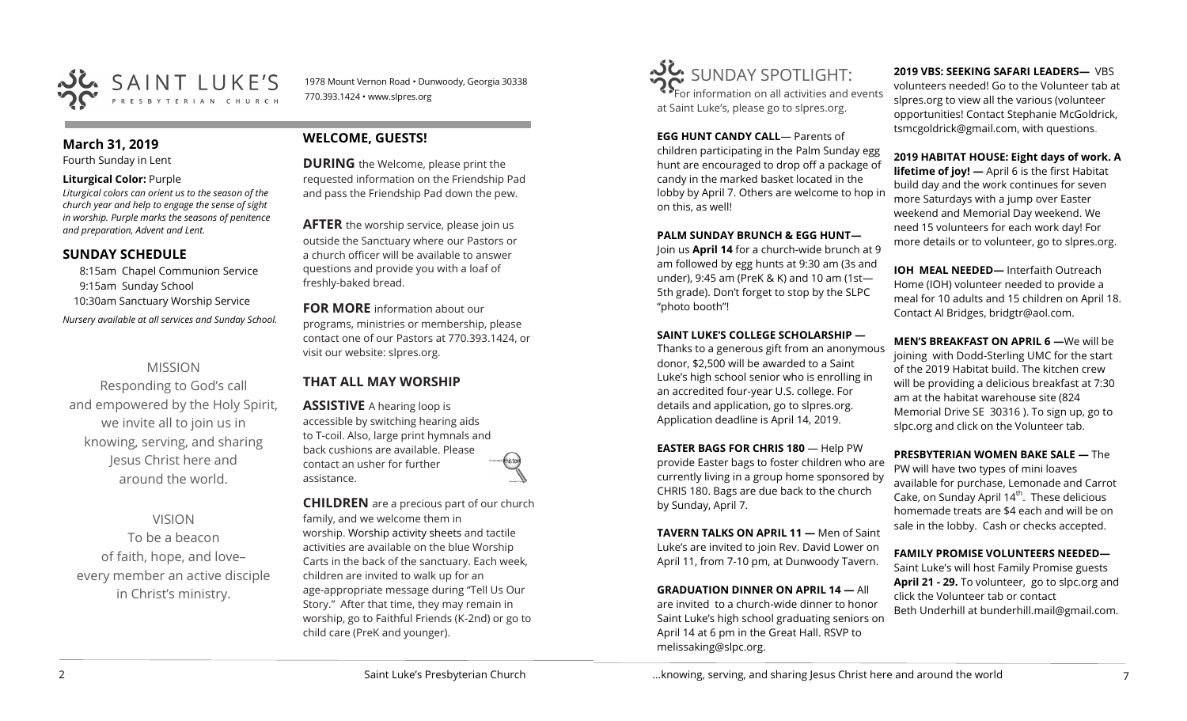

### **March 31, 2019**

Fourth Sunday in Lent

#### **Liturgical Color:** Purple

*Liturgical colors can orient us to the season of the church year and help to engage the sense of sight in worship. Purple marks the seasons of penitence and preparation, Advent and Lent.*

# **SUNDAY SCHEDULE**

8:15am Chapel Communion Service 9:15am Sunday School 10:30am Sanctuary Worship Service *Nursery available at all services and Sunday School.* 

# MISSION

Responding to God's call and empowered by the Holy Spirit, we invite all to join us in knowing, serving, and sharing Jesus Christ here and around the world.

# VISION

To be a beacon of faith, hope, and love– every member an active disciple in Christ's ministry.

# **WELCOME, GUESTS!**

770.393.1424 • www.slpres.org

**DURING** the Welcome, please print the requested information on the Friendship Pad and pass the Friendship Pad down the pew.

1978 Mount Vernon Road • Dunwoody, Georgia 30338

**AFTER** the worship service, please join us outside the Sanctuary where our Pastors or a church officer will be available to answer questions and provide you with a loaf of freshly-baked bread.

**FOR MORE** information about our programs, ministries or membership, please contact one of our Pastors at 770.393.1424, or visit our website: slpres.org.

# **THAT ALL MAY WORSHIP**

**ASSISTIVE** A hearing loop is accessible by switching hearing aids to T-coil. Also, large print hymnals and back cushions are available. Please contact an usher for further assistance.

**CHILDREN** are a precious part of our church family, and we welcome them in worship. Worship activity sheets and tactile activities are available on the blue Worship Carts in the back of the sanctuary. Each week, children are invited to walk up for an age-appropriate message during "Tell Us Our Story." After that time, they may remain in worship, go to Faithful Friends (K-2nd) or go to child care (PreK and younger).



**EGG HUNT CANDY CALL**— Parents of children participating in the Palm Sunday egg hunt are encouraged to drop off a package of candy in the marked basket located in the lobby by April 7. Others are welcome to hop in on this, as well!

#### **PALM SUNDAY BRUNCH & EGG HUNT—**

Join us **April 14** for a church-wide brunch at 9 am followed by egg hunts at 9:30 am (3s and under), 9:45 am (PreK & K) and 10 am (1st— 5th grade). Don't forget to stop by the SLPC "photo booth"!

## **SAINT LUKE'S COLLEGE SCHOLARSHIP —**

Thanks to a generous gift from an anonymous donor, \$2,500 will be awarded to a Saint Luke's high school senior who is enrolling in an accredited four-year U.S. college. For details and application, go to slpres.org. Application deadline is April 14, 2019.

**EASTER BAGS FOR CHRIS 180** — Help PW provide Easter bags to foster children who are currently living in a group home sponsored by CHRIS 180. Bags are due back to the church by Sunday, April 7.

**TAVERN TALKS ON APRIL 11 —** Men of Saint Luke's are invited to join Rev. David Lower on April 11, from 7-10 pm, at Dunwoody Tavern.

**GRADUATION DINNER ON APRIL 14 —** All are invited to a church-wide dinner to honor Saint Luke's high school graduating seniors on April 14 at 6 pm in the Great Hall. RSVP to melissaking@slpc.org.

**2019 VBS: SEEKING SAFARI LEADERS—** VBS volunteers needed! Go to the Volunteer tab at slpres.org to view all the various (volunteer opportunities! Contact Stephanie McGoldrick, tsmcgoldrick@gmail.com, with questions.

#### **2019 HABITAT HOUSE: Eight days of work. A**

**lifetime of joy!** — April 6 is the first Habitat build day and the work continues for seven more Saturdays with a jump over Easter weekend and Memorial Day weekend. We need 15 volunteers for each work day! For more details or to volunteer, go to slpres.org.

**IOH MEAL NEEDED—** Interfaith Outreach Home (IOH) volunteer needed to provide a meal for 10 adults and 15 children on April 18. Contact Al Bridges, bridgtr@aol.com.

**MEN'S BREAKFAST ON APRIL 6 —**We will be joining with Dodd-Sterling UMC for the start of the 2019 Habitat build. The kitchen crew will be providing a delicious breakfast at 7:30 am at the habitat warehouse site (824 Memorial Drive SE 30316 ). To sign up, go to slpc.org and click on the Volunteer tab.

**PRESBYTERIAN WOMEN BAKE SALE —** The PW will have two types of mini loaves available for purchase, Lemonade and Carrot Cake, on Sunday April  $14<sup>th</sup>$ . These delicious homemade treats are \$4 each and will be on sale in the lobby. Cash or checks accepted.

## **FAMILY PROMISE VOLUNTEERS NEEDED—**

Saint Luke's will host Family Promise guests **April 21 - 29.** To volunteer, go to slpc.org and click the Volunteer tab or contact Beth Underhill at bunderhill.mail@gmail.com.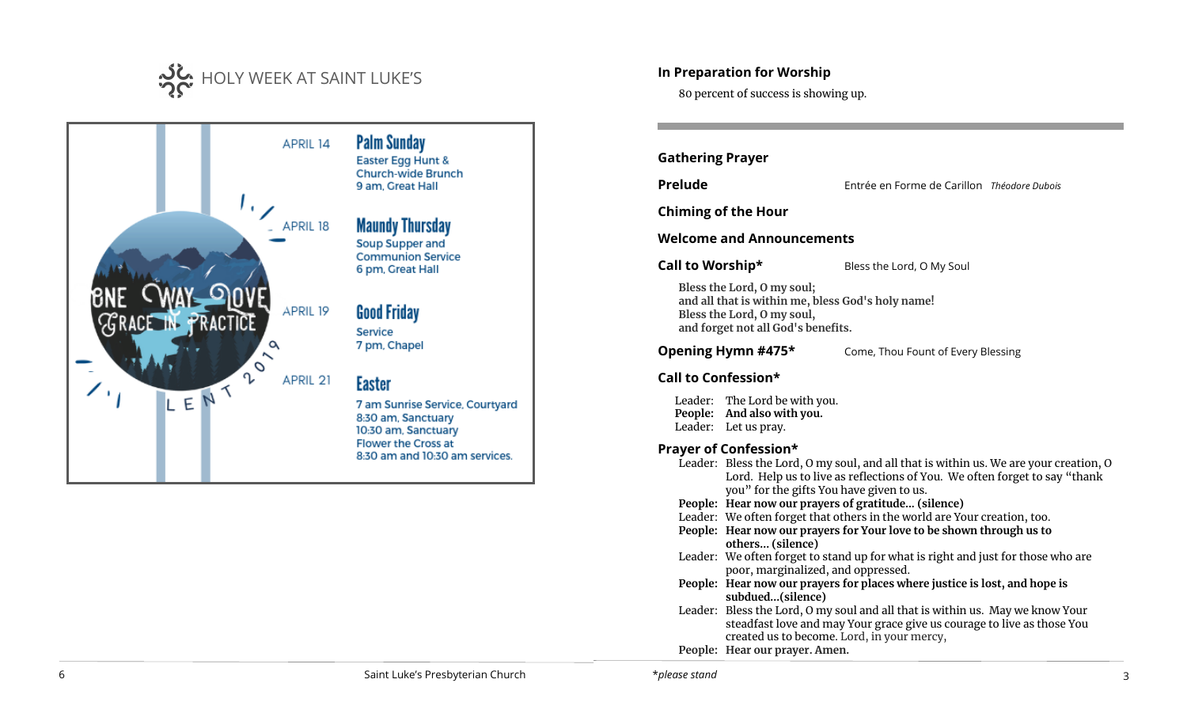



# **In Preparation for Worship**

80 percent of success is showing up.

**Gathering Prayer**

**Prelude** Entrée en Forme de Carillon *Théodore Dubois*

**Chiming of the Hour**

**Welcome and Announcements** 

**Call to Worship\*** Bless the Lord, O My Soul

**Bless the Lord, O my soul; and all that is within me, bless God's holy name! Bless the Lord, O my soul, and forget not all God's benefits.**

**Opening Hymn #475\*** Come, Thou Fount of Every Blessing

# **Call to Confession\***

Leader: The Lord be with you. **People: And also with you.**  Leader: Let us pray.

# **Prayer of Confession\***

|  | Leader: Bless the Lord, O my soul, and all that is within us. We are your creation, O |
|--|---------------------------------------------------------------------------------------|
|  | Lord. Help us to live as reflections of You. We often forget to say "thank            |
|  | you" for the gifts You have given to us.                                              |
|  | People: Hear now our prayers of gratitude (silence)                                   |
|  | Leader: We often forget that others in the world are Your creation, too.              |
|  | People: Hear now our prayers for Your love to be shown through us to                  |
|  | others (silence)                                                                      |
|  | Leader: We often forget to stand up for what is right and just for those who are      |
|  | poor, marginalized, and oppressed.                                                    |
|  | People: Hear now our prayers for places where justice is lost, and hope is            |
|  | subdued(silence)                                                                      |
|  | Leader: Bless the Lord, O my soul and all that is within us. May we know Your         |
|  | steadfast love and may Your grace give us courage to live as those You                |
|  | created us to become. Lord, in your mercy,                                            |
|  | People: Hear our prayer. Amen.                                                        |
|  |                                                                                       |